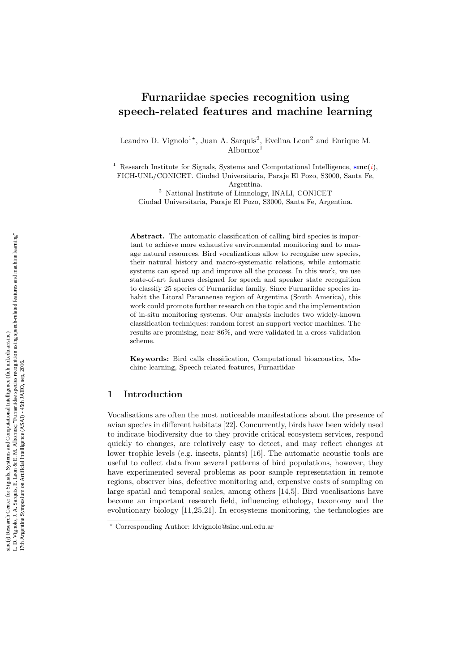# Furnariidae species recognition using speech-related features and machine learning

Leandro D. Vignolo<sup>1\*</sup>, Juan A. Sarquis<sup>2</sup>, Evelina Leon<sup>2</sup> and Enrique M. Albornoz 1

<sup>1</sup> Research Institute for Signals, Systems and Computational Intelligence,  $sinc(i)$ , FICH-UNL/CONICET. Ciudad Universitaria, Paraje El Pozo, S3000, Santa Fe,

Argentina.

<sup>2</sup> National Institute of Limnology, INALI, CONICET

Ciudad Universitaria, Paraje El Pozo, S3000, Santa Fe, Argentina.

Abstract. The automatic classification of calling bird species is important to achieve more exhaustive environmental monitoring and to manage natural resources. Bird vocalizations allow to recognise new species, their natural history and macro-systematic relations, while automatic systems can speed up and improve all the process. In this work, we use state-of-art features designed for speech and speaker state recognition to classify 25 species of Furnariidae family. Since Furnariidae species inhabit the Litoral Paranaense region of Argentina (South America), this work could promote further research on the topic and the implementation of in-situ monitoring systems. Our analysis includes two widely-known classification techniques: random forest an support vector machines. The results are promising, near 86%, and were validated in a cross-validation scheme.

Keywords: Bird calls classification, Computational bioacoustics, Machine learning, Speech-related features, Furnariidae

# 1 Introduction

Vocalisations are often the most noticeable manifestations about the presence of avian species in different habitats [22]. Concurrently, birds have been widely used to indicate biodiversity due to they provide critical ecosystem services, respond quickly to changes, are relatively easy to detect, and may reflect changes at lower trophic levels (e.g. insects, plants) [16]. The automatic acoustic tools are useful to collect data from several patterns of bird populations, however, they have experimented several problems as poor sample representation in remote regions, observer bias, defective monitoring and, expensive costs of sampling on large spatial and temporal scales, among others [14,5]. Bird vocalisations have become an important research field, influencing ethology, taxonomy and the evolutionary biology [11,25,21]. In ecosystems monitoring, the technologies are

<sup>?</sup> Corresponding Author: ldvignolo@sinc.unl.edu.ar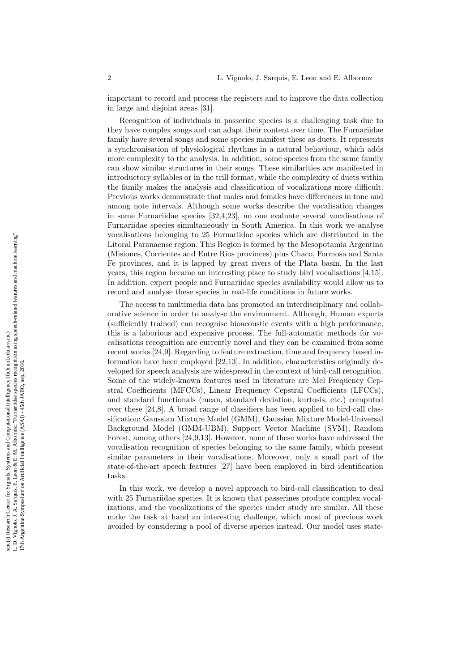important to record and process the registers and to improve the data collection in large and disjoint areas [31].

Recognition of individuals in passerine species is a challenging task due to they have complex songs and can adapt their content over time. The Furnariidae family have several songs and some species manifest these as duets. It represents a synchronisation of physiological rhythms in a natural behaviour, which adds more complexity to the analysis. In addition, some species from the same family can show similar structures in their songs. These similarities are manifested in introductory syllables or in the trill format, while the complexity of duets within the family makes the analysis and classification of vocalizations more difficult. Previous works demonstrate that males and females have differences in tone and among note intervals. Although some works describe the vocalisation changes in some Furnariidae species [32,4,23], no one evaluate several vocalisations of Furnariidae species simultaneously in South America. In this work we analyse vocalisations belonging to 25 Furnariidae species which are distributed in the Litoral Paranaense region. This Region is formed by the Mesopotamia Argentina (Misiones, Corrientes and Entre Rios provinces) plus Chaco, Formosa and Santa Fe provinces, and it is lapped by great rivers of the Plata basin. In the last years, this region became an interesting place to study bird vocalisations [4,15]. In addition, expert people and Furnariidae species availability would allow us to record and analyse these species in real-life conditions in future works.

The access to multimedia data has promoted an interdisciplinary and collaborative science in order to analyse the environment. Although, Human experts (sufficiently trained) can recognise bioacoustic events with a high performance, this is a laborious and expensive process. The full-automatic methods for vocalisations recognition are currently novel and they can be examined from some recent works [24,9]. Regarding to feature extraction, time and frequency based information have been employed [22,13]. In addition, characteristics originally developed for speech analysis are widespread in the context of bird-call recognition. Some of the widely-known features used in literature are Mel Frequency Cepstral Coefficients (MFCCs), Linear Frequency Cepstral Coefficients (LFCCs), and standard functionals (mean, standard deviation, kurtosis, etc.) computed over these [24,8]. A broad range of classifiers has been applied to bird-call classification: Gaussian Mixture Model (GMM), Gaussian Mixture Model-Universal Background Model (GMM-UBM), Support Vector Machine (SVM), Random Forest, among others [24,9,13]. However, none of these works have addressed the vocalisation recognition of species belonging to the same family, which present similar parameters in their vocalisations. Moreover, only a small part of the state-of-the-art speech features [27] have been employed in bird identification tasks.

In this work, we develop a novel approach to bird-call classification to deal with 25 Furnariidae species. It is known that passerines produce complex vocalizations, and the vocalizations of the species under study are similar. All these make the task at hand an interesting challenge, which most of previous work avoided by considering a pool of diverse species instead. Our model uses state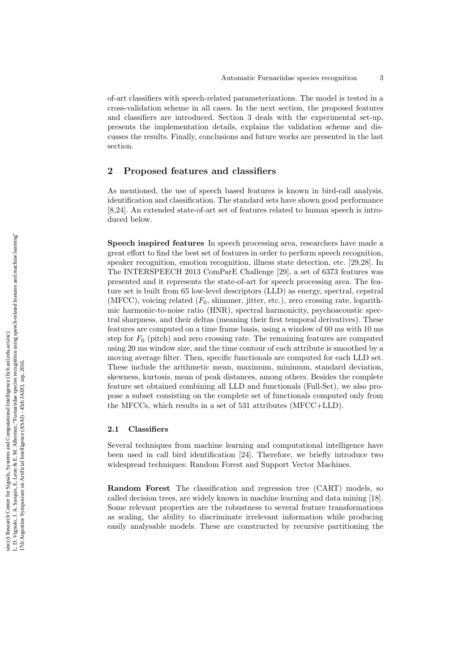of-art classifiers with speech-related parameterizations. The model is tested in a cross-validation scheme in all cases. In the next section, the proposed features and classifiers are introduced. Section 3 deals with the experimental set-up, presents the implementation details, explains the validation scheme and discusses the results. Finally, conclusions and future works are presented in the last section.

# 2 Proposed features and classifiers

As mentioned, the use of speech based features is known in bird-call analysis, identification and classification. The standard sets have shown good performance [8,24]. An extended state-of-art set of features related to human speech is introduced below.

Speech inspired features In speech processing area, researchers have made a great effort to find the best set of features in order to perform speech recognition, speaker recognition, emotion recognition, illness state detection, etc. [29,28]. In The INTERSPEECH 2013 ComParE Challenge [29], a set of 6373 features was presented and it represents the state-of-art for speech processing area. The feature set is built from 65 low-level descriptors (LLD) as energy, spectral, cepstral  $(MFCC)$ , voicing related  $(F_0,$  shimmer, jitter, etc.), zero crossing rate, logarithmic harmonic-to-noise ratio (HNR), spectral harmonicity, psychoacoustic spectral sharpness, and their deltas (meaning their first temporal derivatives). These features are computed on a time frame basis, using a window of 60 ms with 10 ms step for  $F_0$  (pitch) and zero crossing rate. The remaining features are computed using 20 ms window size, and the time contour of each attribute is smoothed by a moving average filter. Then, specific functionals are computed for each LLD set. These include the arithmetic mean, maximum, minimum, standard deviation, skewness, kurtosis, mean of peak distances, among others. Besides the complete feature set obtained combining all LLD and functionals (Full-Set), we also propose a subset consisting on the complete set of functionals computed only from the MFCCs, which results in a set of 531 attributes (MFCC+LLD).

### 2.1 Classifiers

Several techniques from machine learning and computational intelligence have been used in call bird identification [24]. Therefore, we briefly introduce two widespread techniques: Random Forest and Support Vector Machines.

Random Forest The classification and regression tree (CART) models, so called decision trees, are widely known in machine learning and data mining [18]. Some relevant properties are the robustness to several feature transformations as scaling, the ability to discriminate irrelevant information while producing easily analysable models. These are constructed by recursive partitioning the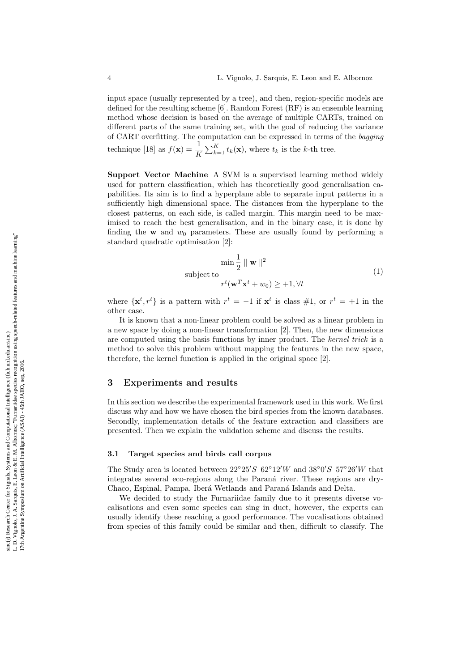input space (usually represented by a tree), and then, region-specific models are defined for the resulting scheme [6]. Random Forest (RF) is an ensemble learning method whose decision is based on the average of multiple CARTs, trained on different parts of the same training set, with the goal of reducing the variance of CART overfitting. The computation can be expressed in terms of the bagging technique [18] as  $f(\mathbf{x}) = \frac{1}{L}$  $\frac{1}{K} \sum_{k=1}^{K} t_k(\mathbf{x})$ , where  $t_k$  is the k-th tree.

Support Vector Machine A SVM is a supervised learning method widely used for pattern classification, which has theoretically good generalisation capabilities. Its aim is to find a hyperplane able to separate input patterns in a sufficiently high dimensional space. The distances from the hyperplane to the closest patterns, on each side, is called margin. This margin need to be maximised to reach the best generalisation, and in the binary case, it is done by finding the  $w$  and  $w_0$  parameters. These are usually found by performing a standard quadratic optimisation [2]:

$$
\min \frac{1}{2} \parallel \mathbf{w} \parallel^{2}
$$
  
subject to  

$$
r^{t}(\mathbf{w}^{T}\mathbf{x}^{t} + w_{0}) \ge +1, \forall t
$$
 (1)

where  $\{x^t, r^t\}$  is a pattern with  $r^t = -1$  if  $x^t$  is class #1, or  $r^t = +1$  in the other case.

It is known that a non-linear problem could be solved as a linear problem in a new space by doing a non-linear transformation [2]. Then, the new dimensions are computed using the basis functions by inner product. The kernel trick is a method to solve this problem without mapping the features in the new space, therefore, the kernel function is applied in the original space [2].

# 3 Experiments and results

In this section we describe the experimental framework used in this work. We first discuss why and how we have chosen the bird species from the known databases. Secondly, implementation details of the feature extraction and classifiers are presented. Then we explain the validation scheme and discuss the results.

#### 3.1 Target species and birds call corpus

The Study area is located between  $22^{\circ}25'S$  62°12′W and 38°0′S 57°26′W that integrates several eco-regions along the Paraná river. These regions are dry-Chaco, Espinal, Pampa, Iberá Wetlands and Paraná Islands and Delta.

We decided to study the Furnariidae family due to it presents diverse vocalisations and even some species can sing in duet, however, the experts can usually identify these reaching a good performance. The vocalisations obtained from species of this family could be similar and then, difficult to classify. The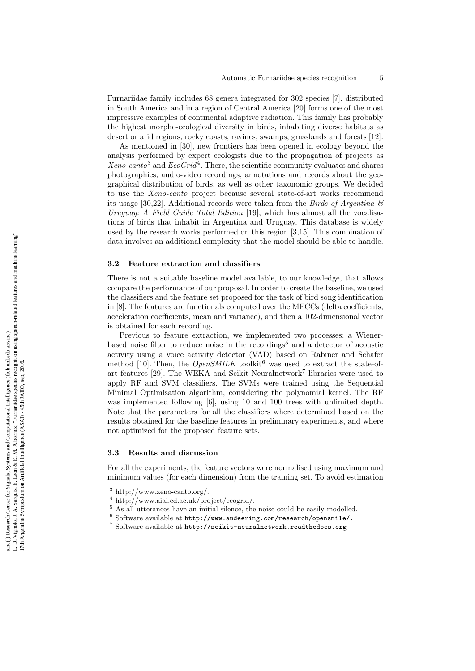Furnariidae family includes 68 genera integrated for 302 species [7], distributed in South America and in a region of Central America [20] forms one of the most impressive examples of continental adaptive radiation. This family has probably the highest morpho-ecological diversity in birds, inhabiting diverse habitats as desert or arid regions, rocky coasts, ravines, swamps, grasslands and forests [12].

As mentioned in [30], new frontiers has been opened in ecology beyond the analysis performed by expert ecologists due to the propagation of projects as  $Xeno\text{-}canto^3$  and  $EcoGrid^4$ . There, the scientific community evaluates and shares photographies, audio-video recordings, annotations and records about the geographical distribution of birds, as well as other taxonomic groups. We decided to use the Xeno-canto project because several state-of-art works recommend its usage [30,22]. Additional records were taken from the *Birds of Argentina*  $\mathcal{B}$ Uruguay: A Field Guide Total Edition [19], which has almost all the vocalisations of birds that inhabit in Argentina and Uruguay. This database is widely used by the research works performed on this region [3,15]. This combination of data involves an additional complexity that the model should be able to handle.

#### 3.2 Feature extraction and classifiers

There is not a suitable baseline model available, to our knowledge, that allows compare the performance of our proposal. In order to create the baseline, we used the classifiers and the feature set proposed for the task of bird song identification in [8]. The features are functionals computed over the MFCCs (delta coefficients, acceleration coefficients, mean and variance), and then a 102-dimensional vector is obtained for each recording.

Previous to feature extraction, we implemented two processes: a Wienerbased noise filter to reduce noise in the recordings<sup>5</sup> and a detector of acoustic activity using a voice activity detector (VAD) based on Rabiner and Schafer method [10]. Then, the  $OpenSMILE$  toolkit<sup>6</sup> was used to extract the state-ofart features [29]. The WEKA and Scikit-Neuralnetwork<sup>7</sup> libraries were used to apply RF and SVM classifiers. The SVMs were trained using the Sequential Minimal Optimisation algorithm, considering the polynomial kernel. The RF was implemented following [6], using 10 and 100 trees with unlimited depth. Note that the parameters for all the classifiers where determined based on the results obtained for the baseline features in preliminary experiments, and where not optimized for the proposed feature sets.

#### 3.3 Results and discussion

For all the experiments, the feature vectors were normalised using maximum and minimum values (for each dimension) from the training set. To avoid estimation

 $\frac{3}{3}$  http://www.xeno-canto.org/.

<sup>4</sup> http://www.aiai.ed.ac.uk/project/ecogrid/.

<sup>5</sup> As all utterances have an initial silence, the noise could be easily modelled.

 $^6$  Software available at  ${\tt http://www.audeering.com/research/opensmile/}.$ 

 $^7$  Software available at  ${\tt http://scikit-neuralnetwork.read$  .org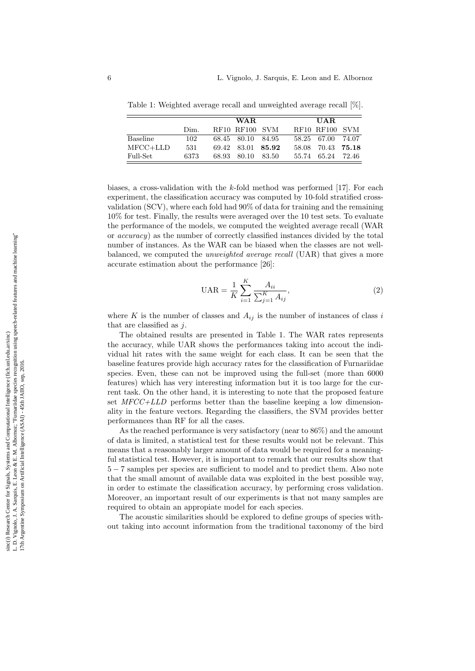|                 |      | WAR. |                |         |       | UAR.              |             |  |
|-----------------|------|------|----------------|---------|-------|-------------------|-------------|--|
|                 | Dim. |      | RF10 RF100 SVM |         |       | RF10 RF100 SVM    |             |  |
| <b>Baseline</b> | 102. |      | 68.45 80.10    | - 84.95 |       | 58.25 67.00 74.07 |             |  |
| $MFCC+LLD$      | 531  |      | 69.42 83.01    | 85.92   | 58.08 |                   | 70.43 75.18 |  |
| Full-Set        | 6373 |      | 68.93 80.10    | -83.50  | 55.74 | 65.24 72.46       |             |  |

Table 1: Weighted average recall and unweighted average recall [%].

biases, a cross-validation with the k-fold method was performed [17]. For each experiment, the classification accuracy was computed by 10-fold stratified crossvalidation (SCV), where each fold had 90% of data for training and the remaining 10% for test. Finally, the results were averaged over the 10 test sets. To evaluate the performance of the models, we computed the weighted average recall (WAR or accuracy) as the number of correctly classified instances divided by the total number of instances. As the WAR can be biased when the classes are not wellbalanced, we computed the unweighted average recall (UAR) that gives a more accurate estimation about the performance [26]:

$$
UAR = \frac{1}{K} \sum_{i=1}^{K} \frac{A_{ii}}{\sum_{j=1}^{K} A_{ij}},
$$
\n(2)

where K is the number of classes and  $A_{ij}$  is the number of instances of class i that are classified as  $j$ .

The obtained results are presented in Table 1. The WAR rates represents the accuracy, while UAR shows the performances taking into accout the individual hit rates with the same weight for each class. It can be seen that the baseline features provide high accuracy rates for the classification of Furnariidae species. Even, these can not be improved using the full-set (more than 6000 features) which has very interesting information but it is too large for the current task. On the other hand, it is interesting to note that the proposed feature set  $MFCC+LLD$  performs better than the baseline keeping a low dimensionality in the feature vectors. Regarding the classifiers, the SVM provides better performances than RF for all the cases.

As the reached performance is very satisfactory (near to 86%) and the amount of data is limited, a statistical test for these results would not be relevant. This means that a reasonably larger amount of data would be required for a meaningful statistical test. However, it is important to remark that our results show that 5 − 7 samples per species are sufficient to model and to predict them. Also note that the small amount of available data was exploited in the best possible way, in order to estimate the classification accuracy, by performing cross validation. Moreover, an important result of our experiments is that not many samples are required to obtain an appropiate model for each species.

The acoustic similarities should be explored to define groups of species without taking into account information from the traditional taxonomy of the bird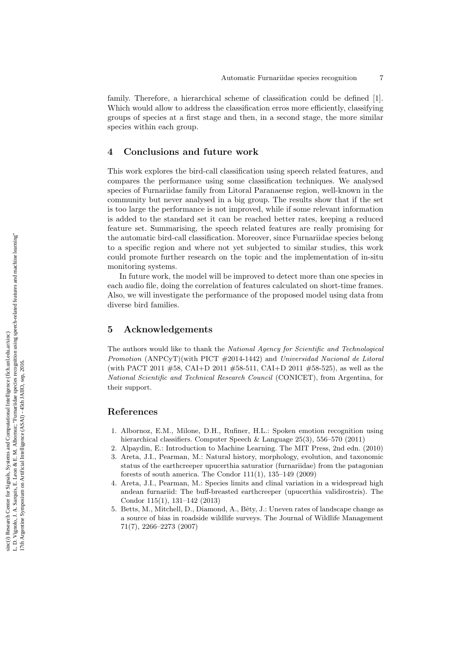family. Therefore, a hierarchical scheme of classification could be defined [1]. Which would allow to address the classification erros more efficiently, classifying groups of species at a first stage and then, in a second stage, the more similar species within each group.

## 4 Conclusions and future work

This work explores the bird-call classification using speech related features, and compares the performance using some classification techniques. We analysed species of Furnariidae family from Litoral Paranaense region, well-known in the community but never analysed in a big group. The results show that if the set is too large the performance is not improved, while if some relevant information is added to the standard set it can be reached better rates, keeping a reduced feature set. Summarising, the speech related features are really promising for the automatic bird-call classification. Moreover, since Furnariidae species belong to a specific region and where not yet subjected to similar studies, this work could promote further research on the topic and the implementation of in-situ monitoring systems.

In future work, the model will be improved to detect more than one species in each audio file, doing the correlation of features calculated on short-time frames. Also, we will investigate the performance of the proposed model using data from diverse bird families.

# 5 Acknowledgements

The authors would like to thank the National Agency for Scientific and Technological Promotion (ANPCyT)(with PICT #2014-1442) and Universidad Nacional de Litoral (with PACT 2011 #58, CAI+D 2011 #58-511, CAI+D 2011 #58-525), as well as the National Scientific and Technical Research Council (CONICET), from Argentina, for their support.

## References

- 1. Albornoz, E.M., Milone, D.H., Rufiner, H.L.: Spoken emotion recognition using hierarchical classifiers. Computer Speech & Language 25(3), 556–570 (2011)
- 2. Alpaydin, E.: Introduction to Machine Learning. The MIT Press, 2nd edn. (2010)
- 3. Areta, J.I., Pearman, M.: Natural history, morphology, evolution, and taxonomic status of the earthcreeper upucerthia saturatior (furnariidae) from the patagonian forests of south america. The Condor 111(1), 135–149 (2009)
- 4. Areta, J.I., Pearman, M.: Species limits and clinal variation in a widespread high andean furnariid: The buff-breasted earthcreeper (upucerthia validirostris). The Condor 115(1), 131–142 (2013)
- 5. Betts, M., Mitchell, D., Diamond, A., Bêty, J.: Uneven rates of landscape change as a source of bias in roadside wildlife surveys. The Journal of Wildlife Management 71(7), 2266–2273 (2007)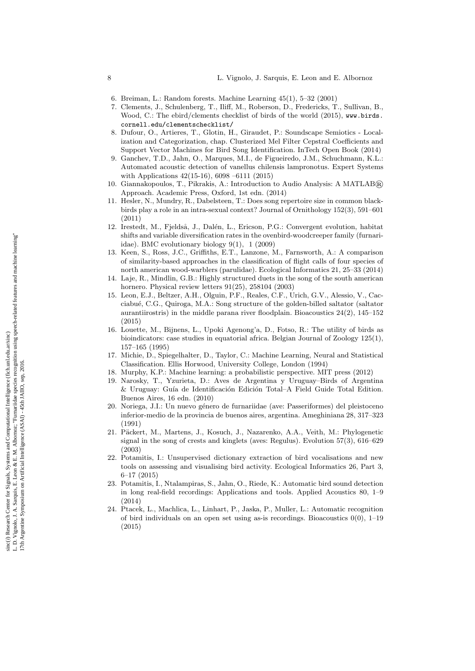- 6. Breiman, L.: Random forests. Machine Learning 45(1), 5–32 (2001)
- 7. Clements, J., Schulenberg, T., Iliff, M., Roberson, D., Fredericks, T., Sullivan, B., Wood, C.: The ebird/clements checklist of birds of the world (2015), www.birds. cornell.edu/clementschecklist/
- 8. Dufour, O., Artieres, T., Glotin, H., Giraudet, P.: Soundscape Semiotics Localization and Categorization, chap. Clusterized Mel Filter Cepstral Coefficients and Support Vector Machines for Bird Song Identification. InTech Open Book (2014)
- 9. Ganchev, T.D., Jahn, O., Marques, M.I., de Figueiredo, J.M., Schuchmann, K.L.: Automated acoustic detection of vanellus chilensis lampronotus. Expert Systems with Applications 42(15-16), 6098 –6111 (2015)
- 10. Giannakopoulos, T., Pikrakis, A.: Introduction to Audio Analysis: A MATLAB ® Approach. Academic Press, Oxford, 1st edn. (2014)
- 11. Hesler, N., Mundry, R., Dabelsteen, T.: Does song repertoire size in common blackbirds play a role in an intra-sexual context? Journal of Ornithology 152(3), 591–601 (2011)
- 12. Irestedt, M., Fjeldså, J., Dalén, L., Ericson, P.G.: Convergent evolution, habitat shifts and variable diversification rates in the ovenbird-woodcreeper family (furnariidae). BMC evolutionary biology 9(1), 1 (2009)
- 13. Keen, S., Ross, J.C., Griffiths, E.T., Lanzone, M., Farnsworth, A.: A comparison of similarity-based approaches in the classification of flight calls of four species of north american wood-warblers (parulidae). Ecological Informatics 21, 25–33 (2014)
- 14. Laje, R., Mindlin, G.B.: Highly structured duets in the song of the south american hornero. Physical review letters 91(25), 258104 (2003)
- 15. Leon, E.J., Beltzer, A.H., Olguin, P.F., Reales, C.F., Urich, G.V., Alessio, V., Cacciabu´e, C.G., Quiroga, M.A.: Song structure of the golden-billed saltator (saltator aurantiirostris) in the middle parana river floodplain. Bioacoustics  $24(2)$ ,  $145-152$ (2015)
- 16. Louette, M., Bijnens, L., Upoki Agenong'a, D., Fotso, R.: The utility of birds as bioindicators: case studies in equatorial africa. Belgian Journal of Zoology 125(1), 157–165 (1995)
- 17. Michie, D., Spiegelhalter, D., Taylor, C.: Machine Learning, Neural and Statistical Classification. Ellis Horwood, University College, London (1994)
- 18. Murphy, K.P.: Machine learning: a probabilistic perspective. MIT press (2012)
- 19. Narosky, T., Yzurieta, D.: Aves de Argentina y Uruguay–Birds of Argentina & Uruguay: Guía de Identificación Edición Total–A Field Guide Total Edition. Buenos Aires, 16 edn. (2010)
- 20. Noriega, J.I.: Un nuevo género de furnariidae (ave: Passeriformes) del pleistoceno inferior-medio de la provincia de buenos aires, argentina. Ameghiniana 28, 317–323 (1991)
- 21. Päckert, M., Martens, J., Kosuch, J., Nazarenko, A.A., Veith, M.: Phylogenetic signal in the song of crests and kinglets (aves: Regulus). Evolution 57(3), 616–629 (2003)
- 22. Potamitis, I.: Unsupervised dictionary extraction of bird vocalisations and new tools on assessing and visualising bird activity. Ecological Informatics 26, Part 3, 6–17 (2015)
- 23. Potamitis, I., Ntalampiras, S., Jahn, O., Riede, K.: Automatic bird sound detection in long real-field recordings: Applications and tools. Applied Acoustics 80, 1–9 (2014)
- 24. Ptacek, L., Machlica, L., Linhart, P., Jaska, P., Muller, L.: Automatic recognition of bird individuals on an open set using as-is recordings. Bioacoustics  $0(0)$ , 1–19 (2015)